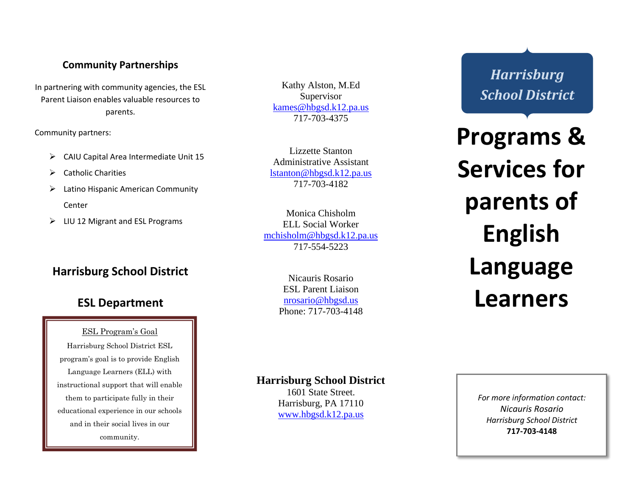### **Community Partnerships**

In partnering with community agencies, the ESL Parent Liaison enables valuable resources to parents.

Community partners:

- ➢ CAIU Capital Area Intermediate Unit 15
- ➢ Catholic Charities
- $\triangleright$  Latino Hispanic American Community Center
- ➢ LIU 12 Migrant and ESL Programs

## **Harrisburg School District**

## **ESL Department**

ESL Program's Goal Harrisburg School District ESL program's goal is to provide English Language Learners (ELL) with instructional support that will enable them to participate fully in their educational experience in our schools and in their social lives in our community.

Kathy Alston, M.Ed Supervisor [kames@hbgsd.k12.pa.us](mailto:kames@hbgsd.k12.pa.us) 717 -703 - 4375

Lizzette Stanton Administrative Assistant [lstanton@hbgsd.k12.pa.us](mailto:lstanton@hbgsd.k12.pa.us) 717 -703 -4182

Monica Chisholm ELL Social Worker [mchisholm@hbgsd.k12.pa.us](mailto:mchisholm@hbgsd.k12.pa.us) 717 -554 -5223

> Nicauris Rosario ESL Parent Liaison [nrosario@hbgsd.us](mailto:nrosario@hbgsd.us) Phone: 717-703-4148

# *Harrisburg School District*

**Programs & Services for parents of English Language Learners**

#### **Harrisburg School District**

1601 State Street. Harrisburg, PA 17110 [www.hbgsd.k12.pa.us](http://www.hbgsd.k12.pa.us/)

*For more information contact: Nicauris Rosario Harrisburg School District* **717 -703 -4148**